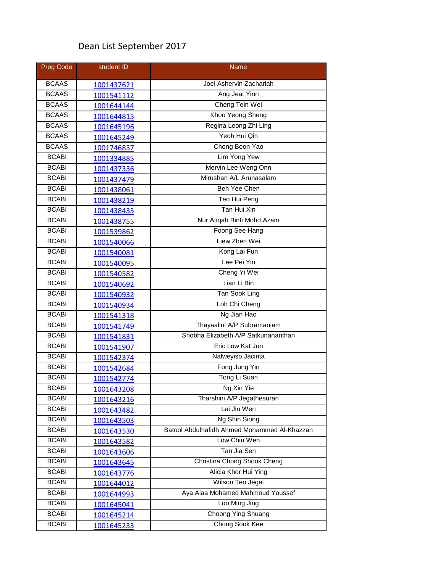## Dean List September 2017

| Prog Code    | student ID | Name                                         |
|--------------|------------|----------------------------------------------|
| <b>BCAAS</b> | 1001437621 | Joel Ashervin Zachariah                      |
| <b>BCAAS</b> | 1001541112 | Ang Jeat Yinn                                |
| <b>BCAAS</b> | 1001644144 | Cheng Tein Wei                               |
| <b>BCAAS</b> | 1001644815 | Khoo Yeong Sheng                             |
| <b>BCAAS</b> | 1001645196 | Regina Leong Zhi Ling                        |
| <b>BCAAS</b> | 1001645249 | Yeoh Hui Qin                                 |
| <b>BCAAS</b> | 1001746837 | Chong Boon Yao                               |
| <b>BCABI</b> | 1001334885 | Lim Yong Yew                                 |
| <b>BCABI</b> | 1001437336 | Mervin Lee Weng Onn                          |
| <b>BCABI</b> | 1001437479 | Mirushan A/L Arunasalam                      |
| <b>BCABI</b> | 1001438061 | <b>Beh Yee Chen</b>                          |
| <b>BCABI</b> | 1001438219 | Teo Hui Peng                                 |
| <b>BCABI</b> | 1001438435 | Tan Hui Xin                                  |
| <b>BCABI</b> | 1001438755 | Nur Atigah Binti Mohd Azam                   |
| <b>BCABI</b> | 1001539862 | Foong See Hang                               |
| <b>BCABI</b> | 1001540066 | Liew Zhen Wei                                |
| <b>BCABI</b> | 1001540081 | Kong Lai Fun                                 |
| <b>BCABI</b> | 1001540095 | Lee Pei Yin                                  |
| <b>BCABI</b> | 1001540582 | Cheng Yi Wei                                 |
| <b>BCABI</b> | 1001540692 | Lian Li Bin                                  |
| <b>BCABI</b> | 1001540932 | <b>Tan Sook Ling</b>                         |
| <b>BCABI</b> | 1001540934 | Loh Chi Cheng                                |
| <b>BCABI</b> | 1001541318 | Ng Jian Hao                                  |
| <b>BCABI</b> | 1001541749 | Thayaalini A/P Subramaniam                   |
| <b>BCABI</b> | 1001541831 | Shobha Elizabeth A/P Satkunananthan          |
| <b>BCABI</b> | 1001541907 | Eric Low Kat Jun                             |
| <b>BCABI</b> | 1001542374 | Nalweyiso Jacinta                            |
| <b>BCABI</b> | 1001542684 | Fong Jung Yin                                |
| <b>BCABI</b> | 1001542774 | Tong Li Suan                                 |
| <b>BCABI</b> | 1001643208 | Ng Xin Yie                                   |
| <b>BCABI</b> | 1001643216 | Tharshini A/P Jegathesuran                   |
| <b>BCABI</b> | 1001643482 | Lai Jin Wen                                  |
| <b>BCABI</b> | 1001643503 | Ng Shin Siong                                |
| <b>BCABI</b> | 1001643530 | Batool Abdulhafidh Ahmed Mohammed Al-Khazzan |
| <b>BCABI</b> | 1001643582 | Low Chin Wen                                 |
| <b>BCABI</b> | 1001643606 | Tan Jia Sen                                  |
| <b>BCABI</b> | 1001643645 | Christina Chong Shook Cheng                  |
| <b>BCABI</b> | 1001643776 | Alicia Khor Hui Ying                         |
| <b>BCABI</b> | 1001644012 | Wilson Teo Jegai                             |
| <b>BCABI</b> | 1001644993 | Aya Alaa Mohamed Mahmoud Youssef             |
| <b>BCABI</b> | 1001645041 | Loo Ming Jing                                |
| <b>BCABI</b> | 1001645214 | Choong Ying Shuang                           |
| <b>BCABI</b> | 1001645233 | Chong Sook Kee                               |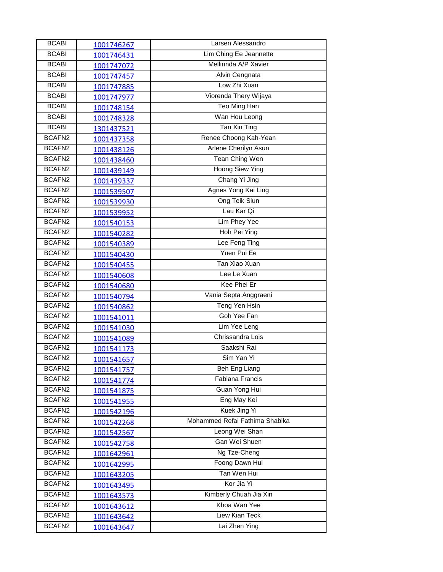| <b>BCABI</b>       | 1001746267 | Larsen Alessandro              |
|--------------------|------------|--------------------------------|
| <b>BCABI</b>       | 1001746431 | Lim Ching Ee Jeannette         |
| <b>BCABI</b>       | 1001747072 | Mellinnda A/P Xavier           |
| <b>BCABI</b>       | 1001747457 | Alvin Cengnata                 |
| <b>BCABI</b>       | 1001747885 | Low Zhi Xuan                   |
| <b>BCABI</b>       | 1001747977 | Viorenda Thery Wijaya          |
| <b>BCABI</b>       | 1001748154 | Teo Ming Han                   |
| <b>BCABI</b>       | 1001748328 | Wan Hou Leong                  |
| <b>BCABI</b>       | 1301437521 | Tan Xin Ting                   |
| BCAFN <sub>2</sub> | 1001437358 | Renee Choong Kah-Yean          |
| BCAFN <sub>2</sub> | 1001438126 | Arlene Cherilyn Asun           |
| BCAFN2             | 1001438460 | <b>Tean Ching Wen</b>          |
| BCAFN <sub>2</sub> | 1001439149 | <b>Hoong Siew Ying</b>         |
| BCAFN <sub>2</sub> | 1001439337 | Chang Yi Jing                  |
| BCAFN <sub>2</sub> | 1001539507 | Agnes Yong Kai Ling            |
| BCAFN2             | 1001539930 | Ong Teik Siun                  |
| BCAFN <sub>2</sub> | 1001539952 | Lau Kar Qi                     |
| BCAFN <sub>2</sub> | 1001540153 | Lim Phey Yee                   |
| BCAFN <sub>2</sub> | 1001540282 | Hoh Pei Ying                   |
| BCAFN <sub>2</sub> | 1001540389 | Lee Feng Ting                  |
| BCAFN <sub>2</sub> | 1001540430 | Yuen Pui Ee                    |
| BCAFN2             | 1001540455 | Tan Xiao Xuan                  |
| BCAFN2             | 1001540608 | Lee Le Xuan                    |
| BCAFN <sub>2</sub> | 1001540680 | Kee Phei Er                    |
| BCAFN2             | 1001540794 | Vania Septa Anggraeni          |
| BCAFN <sub>2</sub> | 1001540862 | Teng Yen Hsin                  |
| BCAFN <sub>2</sub> | 1001541011 | Goh Yee Fan                    |
| BCAFN <sub>2</sub> | 1001541030 | Lim Yee Leng                   |
| BCAFN <sub>2</sub> | 1001541089 | Chrissandra Lois               |
| BCAFN2             | 1001541173 | Saakshi Rai                    |
| BCAFN <sub>2</sub> | 1001541657 | Sim Yan Yi                     |
| BCAFN2             | 1001541757 | Beh Eng Liang                  |
| BCAFN <sub>2</sub> | 1001541774 | <b>Fabiana Francis</b>         |
| BCAFN2             | 1001541875 | Guan Yong Hui                  |
| BCAFN2             | 1001541955 | Eng May Kei                    |
| BCAFN <sub>2</sub> | 1001542196 | Kuek Jing Yi                   |
| BCAFN <sub>2</sub> | 1001542268 | Mohammed Refai Fathima Shabika |
| BCAFN2             | 1001542567 | Leong Wei Shan                 |
| BCAFN2             | 1001542758 | Gan Wei Shuen                  |
| BCAFN2             | 1001642961 | Ng Tze-Cheng                   |
| BCAFN2             | 1001642995 | Foong Dawn Hui                 |
| BCAFN <sub>2</sub> | 1001643205 | Tan Wen Hui                    |
| BCAFN2             | 1001643495 | Kor Jia Yi                     |
| BCAFN2             | 1001643573 | Kimberly Chuah Jia Xin         |
| BCAFN2             | 1001643612 | Khoa Wan Yee                   |
| BCAFN <sub>2</sub> | 1001643642 | Liew Kian Teck                 |
| BCAFN2             | 1001643647 | Lai Zhen Ying                  |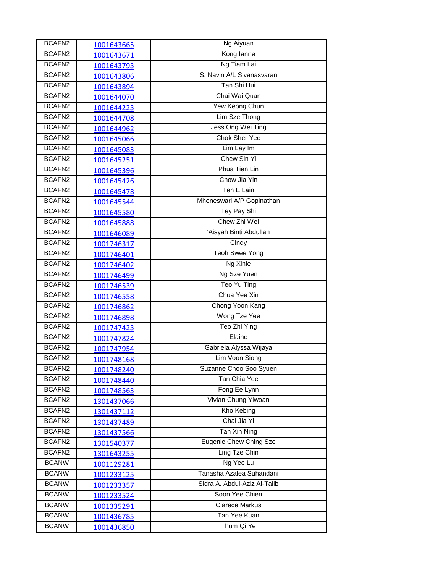| BCAFN2             | 1001643665        | Ng Aiyuan                    |
|--------------------|-------------------|------------------------------|
| BCAFN <sub>2</sub> | 1001643671        | Kong lanne                   |
| BCAFN2             | 1001643793        | Ng Tiam Lai                  |
| BCAFN <sub>2</sub> | 1001643806        | S. Navin A/L Sivanasvaran    |
| BCAFN <sub>2</sub> | 1001643894        | Tan Shi Hui                  |
| BCAFN2             | 1001644070        | Chai Wai Quan                |
| BCAFN <sub>2</sub> | 1001644223        | Yew Keong Chun               |
| BCAFN <sub>2</sub> | 1001644708        | Lim Sze Thong                |
| BCAFN <sub>2</sub> | 1001644962        | Jess Ong Wei Ting            |
| BCAFN <sub>2</sub> | 1001645066        | <b>Chok Sher Yee</b>         |
| BCAFN <sub>2</sub> | 1001645083        | Lim Lay Im                   |
| BCAFN2             | 1001645251        | Chew Sin Yi                  |
| BCAFN <sub>2</sub> | 1001645396        | Phua Tien Lin                |
| BCAFN <sub>2</sub> | 1001645426        | Chow Jia Yin                 |
| BCAFN <sub>2</sub> | 1001645478        | Teh E Lain                   |
| BCAFN <sub>2</sub> | 1001645544        | Mhoneswari A/P Gopinathan    |
| BCAFN2             | 1001645580        | Tey Pay Shi                  |
| BCAFN2             | 1001645888        | Chew Zhi Wei                 |
| BCAFN2             | 1001646089        | 'Aisyah Binti Abdullah       |
| BCAFN <sub>2</sub> | 1001746317        | Cindy                        |
| BCAFN2             | 1001746401        | <b>Teoh Swee Yong</b>        |
| BCAFN2             | 1001746402        | Ng Xinle                     |
| BCAFN <sub>2</sub> | 1001746499        | Ng Sze Yuen                  |
| BCAFN2             | 1001746539        | Teo Yu Ting                  |
| BCAFN <sub>2</sub> | 1001746558        | Chua Yee Xin                 |
| BCAFN <sub>2</sub> | 1001746862        | Chong Yoon Kang              |
| BCAFN <sub>2</sub> | 1001746898        | Wong Tze Yee                 |
| BCAFN2             | 1001747423        | Teo Zhi Ying                 |
| BCAFN <sub>2</sub> | 1001747824        | Elaine                       |
| BCAFN2             | 1001747954        | Gabriela Alyssa Wijaya       |
| BCAFN <sub>2</sub> | 1001748168        | Lim Voon Siong               |
| BCAFN2             | 1001748240        | Suzanne Choo Soo Syuen       |
| BCAFN2             | 1001748440        | Tan Chia Yee                 |
| BCAFN2             | 1001748563        | Fong Ee Lynn                 |
| BCAFN2             | 1301437066        | Vivian Chung Yiwoan          |
| BCAFN2             | 1301437112        | Kho Kebing                   |
| BCAFN2             | 1301437489        | Chai Jia Yi                  |
| BCAFN2             | 1301437566        | Tan Xin Ning                 |
| BCAFN <sub>2</sub> | 1301540377        | Eugenie Chew Ching Sze       |
| BCAFN2             | 1301643255        | Ling Tze Chin                |
| <b>BCANW</b>       | <u>1001129281</u> | Ng Yee Lu                    |
| <b>BCANW</b>       | 1001233125        | Tanasha Azalea Suhandani     |
| <b>BCANW</b>       | 1001233357        | Sidra A. Abdul-Aziz Al-Talib |
| <b>BCANW</b>       | 1001233524        | Soon Yee Chien               |
| <b>BCANW</b>       | 1001335291        | <b>Clarece Markus</b>        |
| <b>BCANW</b>       | 1001436785        | Tan Yee Kuan                 |
| <b>BCANW</b>       | 1001436850        | Thum Qi Ye                   |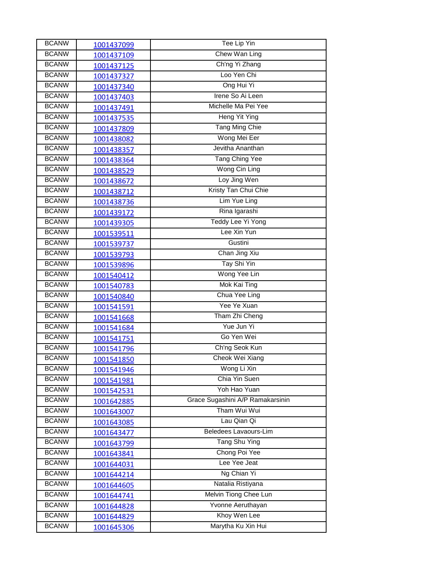| <b>BCANW</b> | 1001437099 | Tee Lip Yin                      |
|--------------|------------|----------------------------------|
| <b>BCANW</b> | 1001437109 | Chew Wan Ling                    |
| <b>BCANW</b> | 1001437125 | Ch'ng Yi Zhang                   |
| <b>BCANW</b> | 1001437327 | Loo Yen Chi                      |
| <b>BCANW</b> | 1001437340 | Ong Hui Yi                       |
| <b>BCANW</b> | 1001437403 | Irene So Ai Leen                 |
| <b>BCANW</b> | 1001437491 | Michelle Ma Pei Yee              |
| <b>BCANW</b> | 1001437535 | <b>Heng Yit Ying</b>             |
| <b>BCANW</b> | 1001437809 | <b>Tang Ming Chie</b>            |
| <b>BCANW</b> | 1001438082 | Wong Mei Eer                     |
| <b>BCANW</b> | 1001438357 | Jevitha Ananthan                 |
| <b>BCANW</b> | 1001438364 | Tang Ching Yee                   |
| <b>BCANW</b> | 1001438529 | Wong Cin Ling                    |
| <b>BCANW</b> | 1001438672 | Loy Jing Wen                     |
| <b>BCANW</b> | 1001438712 | Kristy Tan Chui Chie             |
| <b>BCANW</b> | 1001438736 | Lim Yue Ling                     |
| <b>BCANW</b> | 1001439172 | Rina Igarashi                    |
| <b>BCANW</b> | 1001439305 | <b>Teddy Lee Yi Yong</b>         |
| <b>BCANW</b> | 1001539511 | Lee Xin Yun                      |
| <b>BCANW</b> | 1001539737 | Gustini                          |
| <b>BCANW</b> | 1001539793 | Chan Jing Xiu                    |
| <b>BCANW</b> | 1001539896 | Tay Shi Yin                      |
| <b>BCANW</b> | 1001540412 | Wong Yee Lin                     |
| <b>BCANW</b> | 1001540783 | Mok Kai Ting                     |
| <b>BCANW</b> | 1001540840 | Chua Yee Ling                    |
| <b>BCANW</b> | 1001541591 | Yee Ye Xuan                      |
| <b>BCANW</b> | 1001541668 | Tham Zhi Cheng                   |
| <b>BCANW</b> | 1001541684 | Yue Jun Yi                       |
| <b>BCANW</b> | 1001541751 | Go Yen Wei                       |
| <b>BCANW</b> | 1001541796 | Ch'ng Seok Kun                   |
| <b>BCANW</b> | 1001541850 | Cheok Wei Xiang                  |
| <b>BCANW</b> | 1001541946 | Wong Li Xin                      |
| <b>BCANW</b> | 1001541981 | Chia Yin Suen                    |
| <b>BCANW</b> | 1001542531 | Yoh Hao Yuan                     |
| <b>BCANW</b> | 1001642885 | Grace Sugashini A/P Ramakarsinin |
| <b>BCANW</b> | 1001643007 | Tham Wui Wui                     |
| <b>BCANW</b> | 1001643085 | Lau Qian Qi                      |
| <b>BCANW</b> | 1001643477 | Beledees Lavaours-Lim            |
| <b>BCANW</b> | 1001643799 | <b>Tang Shu Ying</b>             |
| <b>BCANW</b> | 1001643841 | Chong Poi Yee                    |
| <b>BCANW</b> | 1001644031 | Lee Yee Jeat                     |
| <b>BCANW</b> | 1001644214 | Ng Chian Yi                      |
| <b>BCANW</b> | 1001644605 | Natalia Ristiyana                |
| <b>BCANW</b> | 1001644741 | Melvin Tiong Chee Lun            |
| <b>BCANW</b> | 1001644828 | Yvonne Aeruthayan                |
| <b>BCANW</b> | 1001644829 | Khoy Wen Lee                     |
| <b>BCANW</b> | 1001645306 | Marytha Ku Xin Hui               |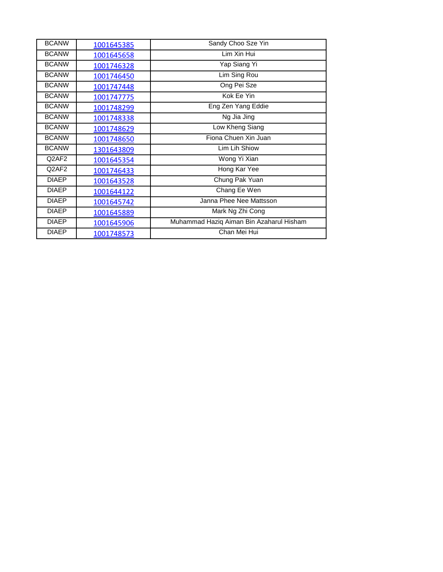| <b>BCANW</b> | 1001645385 | Sandy Choo Sze Yin                       |
|--------------|------------|------------------------------------------|
| <b>BCANW</b> | 1001645658 | Lim Xin Hui                              |
| <b>BCANW</b> | 1001746328 | Yap Siang Yi                             |
| <b>BCANW</b> | 1001746450 | Lim Sing Rou                             |
| <b>BCANW</b> | 1001747448 | Ong Pei Sze                              |
| <b>BCANW</b> | 1001747775 | Kok Ee Yin                               |
| <b>BCANW</b> | 1001748299 | Eng Zen Yang Eddie                       |
| <b>BCANW</b> | 1001748338 | Ng Jia Jing                              |
| <b>BCANW</b> | 1001748629 | Low Kheng Siang                          |
| <b>BCANW</b> | 1001748650 | Fiona Chuen Xin Juan                     |
| <b>BCANW</b> | 1301643809 | Lim Lih Shiow                            |
| Q2AF2        | 1001645354 | Wong Yi Xian                             |
| Q2AF2        | 1001746433 | Hong Kar Yee                             |
| <b>DIAEP</b> | 1001643528 | Chung Pak Yuan                           |
| <b>DIAEP</b> | 1001644122 | Chang Ee Wen                             |
| <b>DIAEP</b> | 1001645742 | Janna Phee Nee Mattsson                  |
| <b>DIAEP</b> | 1001645889 | Mark Ng Zhi Cong                         |
| <b>DIAEP</b> | 1001645906 | Muhammad Haziq Aiman Bin Azaharul Hisham |
| <b>DIAEP</b> | 1001748573 | Chan Mei Hui                             |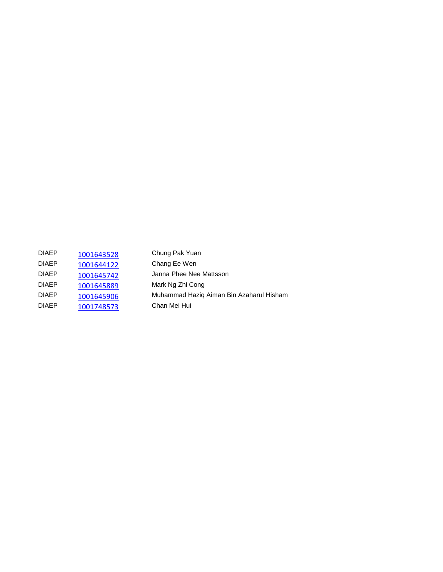| <b>DIAEP</b> | 1001643528 | Chung Pak Yuan                           |
|--------------|------------|------------------------------------------|
| <b>DIAEP</b> | 1001644122 | Chang Ee Wen                             |
| <b>DIAEP</b> | 1001645742 | Janna Phee Nee Mattsson                  |
| <b>DIAEP</b> | 1001645889 | Mark Ng Zhi Cong                         |
| <b>DIAEP</b> | 1001645906 | Muhammad Hazig Aiman Bin Azaharul Hisham |
| <b>DIAFP</b> | 1001748573 | Chan Mei Hui                             |
|              |            |                                          |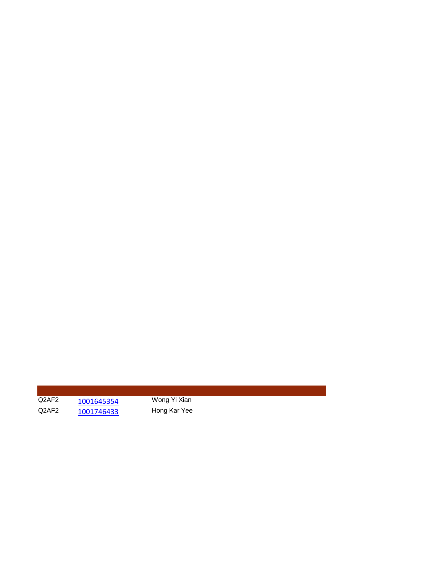Q2AF2 [1001645354](https://iis.ucsiuniversity.edu.my/Staff/Default.aspx?PossePresentation=AccessPortal&PosseObjectId=111575557) Wong Yi Xian<br>Q2AF2 1001746433 Hong Kar Yee [1001746433](https://iis.ucsiuniversity.edu.my/Staff/Default.aspx?PossePresentation=AccessPortal&PosseObjectId=111729130)